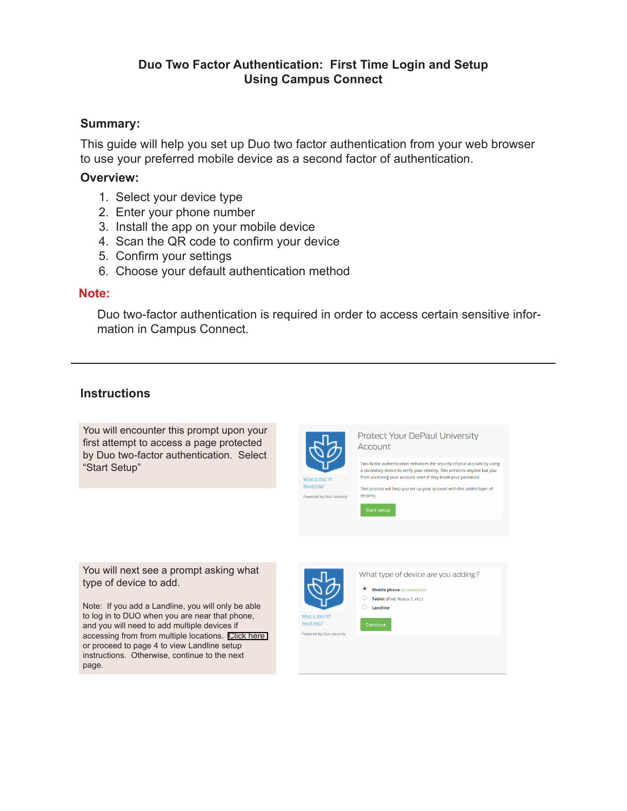### **Duo Two Factor Authentication: First Time Login and Setup Using Campus Connect**

#### **Summary:**

This guide will help you set up Duo two factor authentication from your web browser to use your preferred mobile device as a second factor of authentication.

#### **Overview:**

- 1. Select your device type
- 2. Enter your phone number
- 3. Install the app on your mobile device
- 4. Scan the QR code to confirm your device
- 5. Confirm your settings
- 6. Choose your default authentication method

#### **Note:**

Duo two-factor authentication is required in order to access certain sensitive information in Campus Connect.

#### **Instructions**

You will encounter this prompt upon your first attempt to access a page protected by Duo two-factor authentication. Select "Start Setup"



Powered by Duo Security

**Protect Your DePaul University** Account

Two-factor authentication enhances the security of your account by using a secondary device to verify your identity. This prevents anyone but you from accessing your account, even if they know your password.

This process will help you set up your account with this added layer of security

Start setup

You will next see a prompt asking what type of device to add.

Note: If you add a Landline, you will only be able to log in to DUO when you are near that phone, and you will need to add multiple devices if accessing from from multiple locations. [Click here](#page-3-0)  or proceed to page 4 to view Landline setup instructions. Otherwise, continue to the next page.



Powered by Duo Security

What type of device are you adding?

• Mobile phone RECOMMENDED

 $\bigcirc$  Tablet (iPad, Nexus 7, etc.)  $\bigcap$  Landline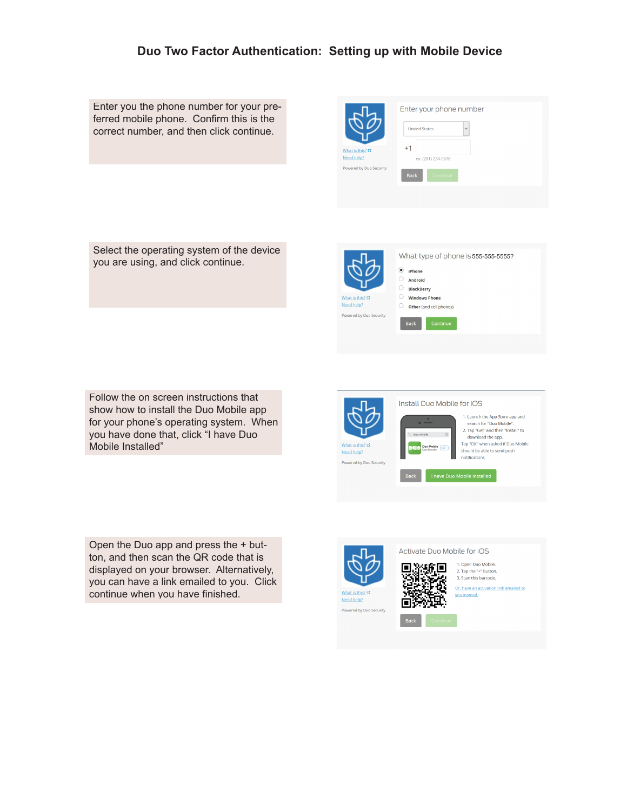## **Duo Two Factor Authentication: Setting up with Mobile Device**

Enter you the phone number for your preferred mobile phone. Confirm this is the correct number, and then click continue.

|                                | Enter your phone number        |
|--------------------------------|--------------------------------|
|                                | <b>United States</b><br>$\vee$ |
| What is this? L'<br>Need help? | $+1$<br>ex: (201) 234-5678     |
| Powered by Duo Security        | <b>Back</b><br>Continue        |
|                                |                                |

Select the operating system of the device you are using, and click continue.

|                                                           | What type of phone is 555-555-5555?<br>۰<br>iPhone<br><b>Android</b><br><b>BlackBerry</b> |  |
|-----------------------------------------------------------|-------------------------------------------------------------------------------------------|--|
| What is this? L'<br>Need help?<br>Powered by Duo Security | <b>Windows Phone</b><br>Other (and cell phones)<br><b>Back</b><br>Continue                |  |

Follow the on screen instructions that show how to install the Duo Mobile app for your phone's operating system. When you have done that, click "I have Duo Mobile Installed"

Open the Duo app and press the + button, and then scan the QR code that is displayed on your browser. Alternatively, you can have a link emailed to you. Click continue when you have finished.





Activate Duo Mobile for iOS

1. Open Duo Mobile. П 2. Tap the "+" button. 3. Scan this barcode.

> Or, have an activation link emailed to you instead.

п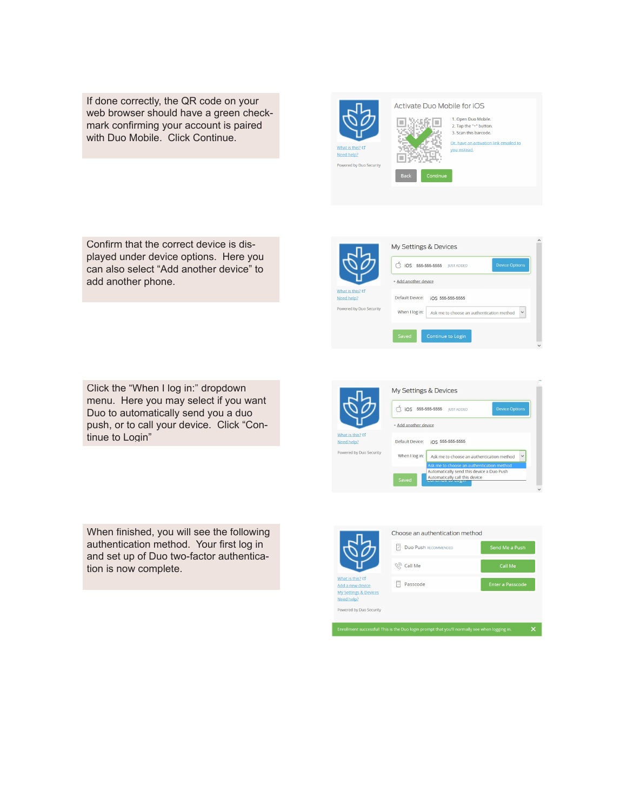If done correctly, the QR code on your web browser should have a green checkmark confirming your account is paired with Duo Mobile. Click Continue.

Activate Duo Mobile for iOS 1. Open Duo Mobile. n 怒痛回 2. Tap the "+" button. 3. Scan this barcode. Or, have an activation link emailed to you instead. Need help? lш ered by Duo Security

 $\overrightarrow{S}$  iOS 555-555-5555 JUST ADDED

My Settings & Devices

Add another device

Need help? Powered by Duo Security Default Device: iOS 555-555-5555

When I log in:  $A$ sk me to choose an authentication method  $\forall$ 

Confirm that the correct device is displayed under device options. Here you can also select "Add another device" to add another phone.

Click the "When I log in:" dropdown menu. Here you may select if you want Duo to automatically send you a duo push, or to call your device. Click "Continue to Login"

When finished, you will see the following authentication method. Your first log in and set up of Duo two-factor authentication is now complete.